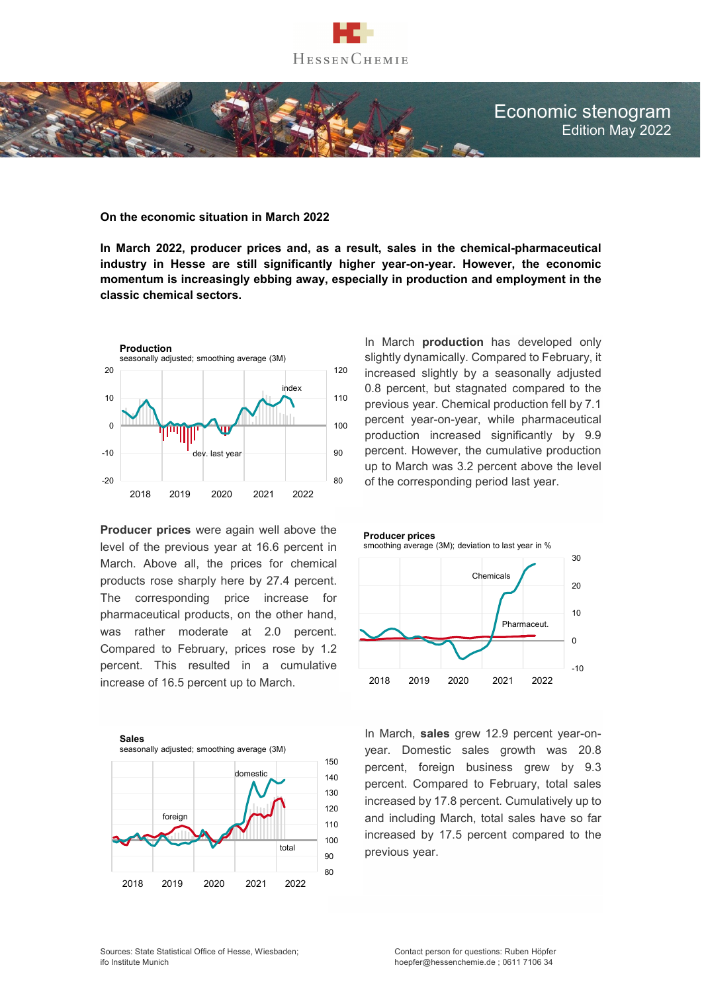

# Economic stenogram Edition May 2022

### **On the economic situation in March 2022**

**In March 2022, producer prices and, as a result, sales in the chemical-pharmaceutical industry in Hesse are still significantly higher year-on-year. However, the economic momentum is increasingly ebbing away, especially in production and employment in the classic chemical sectors.** 



**Producer prices** were again well above the level of the previous year at 16.6 percent in March. Above all, the prices for chemical products rose sharply here by 27.4 percent. The corresponding price increase for pharmaceutical products, on the other hand, was rather moderate at 2.0 percent. Compared to February, prices rose by 1.2 percent. This resulted in a cumulative increase of 16.5 percent up to March.



In March **production** has developed only slightly dynamically. Compared to February, it increased slightly by a seasonally adjusted 0.8 percent, but stagnated compared to the previous year. Chemical production fell by 7.1 percent year-on-year, while pharmaceutical production increased significantly by 9.9 percent. However, the cumulative production up to March was 3.2 percent above the level of the corresponding period last year.



In March, **sales** grew 12.9 percent year-onyear. Domestic sales growth was 20.8 percent, foreign business grew by 9.3 percent. Compared to February, total sales increased by 17.8 percent. Cumulatively up to and including March, total sales have so far increased by 17.5 percent compared to the previous year.